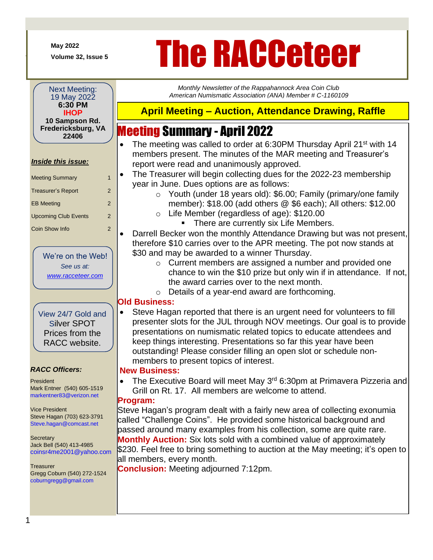**May 2022**

+

# May 2022<br>Volume 32, Issue 5<br>**The RACCeteCH**

*Monthly Newsletter of the Rappahannock Area Coin Club American Numismatic Association (ANA) Member # C-1160109*

#### Next Meeting: 19 May 2022 **6:30 PM IHOP 10 Sampson Rd. Fredericksburg, VA 22406**

#### *Inside this issue:*

| <b>Meeting Summary</b>      | 1             |
|-----------------------------|---------------|
| Treasurer's Report          | 2             |
| <b>EB Meeting</b>           | $\mathcal{P}$ |
| <b>Upcoming Club Events</b> | 2             |
| <b>Coin Show Info</b>       | 2             |

We're on the Web! *See us at: [www.racceteer.com](http://www.racceteer.com/)*

View 24/7 Gold and Silver SPOT Prices from the RACC website.

#### *RACC Officers:*

President Mark Entner (540) 605-1519 markentner83@verizon.net

Vice President Steve Hagan (703) 623-3791 Steve.hagan@comcast.net

**Secretary** Jack Bell (540) 413-4985 coinsr4me2001@yahoo.com

**Treasurer** Gregg Coburn (540) 272-1524 coburngregg@gmail.com

## **April Meeting – Auction, Attendance Drawing, Raffle**

## Meeting Summary - April 2022

- The meeting was called to order at 6:30PM Thursday April 21<sup>st</sup> with 14 members present. The minutes of the MAR meeting and Treasurer's report were read and unanimously approved.
- The Treasurer will begin collecting dues for the 2022-23 membership year in June. Dues options are as follows:
	- o Youth (under 18 years old): \$6.00; Family (primary/one family member): \$18.00 (add others @ \$6 each); All others: \$12.00
	- o Life Member (regardless of age): \$120.00
		- There are currently six Life Members.

• Darrell Becker won the monthly Attendance Drawing but was not present, therefore \$10 carries over to the APR meeting. The pot now stands at \$30 and may be awarded to a winner Thursday.

o Current members are assigned a number and provided one chance to win the \$10 prize but only win if in attendance. If not, the award carries over to the next month.

o Details of a year-end award are forthcoming.

### **Old Business:**

• Steve Hagan reported that there is an urgent need for volunteers to fill presenter slots for the JUL through NOV meetings. Our goal is to provide presentations on numismatic related topics to educate attendees and keep things interesting. Presentations so far this year have been outstanding! Please consider filling an open slot or schedule nonmembers to present topics of interest.

#### **New Business:**

• The Executive Board will meet May  $3<sup>rd</sup>$  6:30pm at Primavera Pizzeria and Grill on Rt. 17. All members are welcome to attend.

### **Program:**

Steve Hagan's program dealt with a fairly new area of collecting exonumia called "Challenge Coins". He provided some historical background and passed around many examples from his collection, some are quite rare. **Monthly Auction:** Six lots sold with a combined value of approximately \$230. Feel free to bring something to auction at the May meeting; it's open to all members, every month.

**Conclusion:** Meeting adjourned 7:12pm.